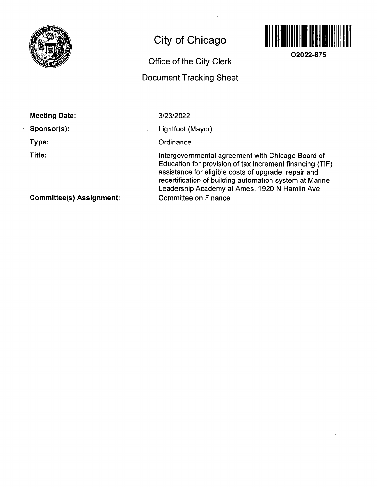

## **City of Chicago**

# 

**O2022-875** 

## **Office of the City Clerk**

### **Document Tracking Sheet**

**Sponsor(s):** 

**Type:** 

 $\hat{\mathbf{r}}$ 

**Title:** 

3/23/2022

Lightfoot (Mayor)

**Ordinance** 

Intergovernmental agreemenf wifh Chicago Board of Education for provision of tax increment financing (TIF) assistance for eligible costs of upgrade, repair and recertification of building automation system at Marine Leadership Academy af Ames, 1920 N Hamlin Ave Committee on Finance

**Committee(s) Assignment:**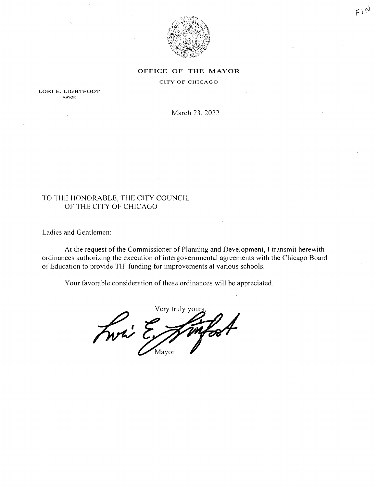

 $F N$ 

#### OFFICE OF THE MAYOR

#### **CITY OF CHICAGO**

LORI E. LIGHTFOOT **MAYOR** 

March 23, 2022

#### TO THE HONORABLE, THE CITY COUNCIL OF THE CITY OF CHICAGO

Ladies and Gentlemen:

At the request of the Commissioner of Planning and Development, I transmit herewith ordinances authorizing the execution of intergovernmental agreements with the Chicago Board of Education to provide TIF funding for improvements at various schools.

Your favorable consideration of these ordinances will be appreciated.

Very truly your Front E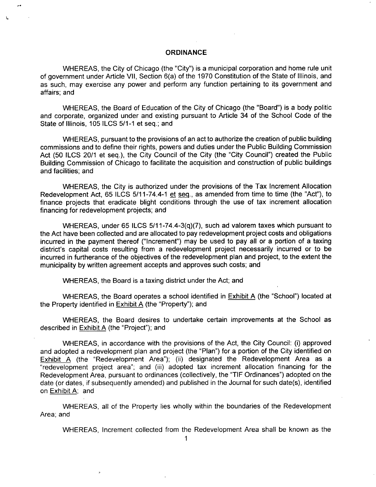#### **ORDINANCE**

WHEREAS, the City of Chicago (the "City") is a municipal corporation and home rule unit of government under Article VII, Section 6(a) of the 1970 Constitution of the State of Illinois, and as such, may exercise any power and perform any function pertaining to its government and affairs; and

WHEREAS, the Board of Education of the City of Chicago (the "Board") is a body politic and corporate, organized under and existing pursuant to Article 34 of the School Code of the State of Illinois, 105 ILCS 5/1-1 et seq.; and

WHEREAS, pursuant to the provisions of an act to authorize the creation of public building commissions and to define their rights, powers and duties underthe Public Building Commission Act (50 ILCS 20/1 et seq.), the City Council of the City (the "City Council") created the Public Building Commission of Chicago to facilitate the acquisition and construction of public buildings and facilities; and

WHEREAS, the City is authorized under the provisions of the Tax Increment Allocation Redevelopment Act, 65 ILCS 5/11-74.4-1 et seg,, as amended from time to time (the "Act"), to finance projects that eradicate blight conditions through the use of tax increment allocation financing for redevelopment projects; and

WHEREAS, under 65 ILCS 5/11-74.4-3(q)(7), such ad valorem taxes which pursuant to the Act have been collected and are allocated to pay redevelopment project costs and obligations incurred in the payment thereof ("Increment") may be used to pay all or a portion of a taxing district's capital costs resulting from a redevelopment project necessarily incurred or to be incurred in furtherance of the objectives of the redevelopment plan and project, to the extent the municipality by written agreement accepts and approves such costs; and

WHEREAS, the Board is a taxing district under the Act; and

WHEREAS, the Board operates a school identified in Exhibit A (the "School") located at the Property identified in  $Exhibit A$  (the "Property"); and

WHEREAS, the Board desires to undertake certain improvements at the School as described in Exhibit A (the "Project"); and

WHEREAS, in accordance with the provisions of the Act, the City Council: (i) approved and adopted a redevelopment plan and project (the "Plan") for a portion of the City identified on Exhibit A (the "Redevelopment Area"); (ii) designated the Redevelopment Area as a "redevelopment project area"; and (iii) adopted tax increment allocation financing for the Redevelopment Area, pursuant to ordinances (collectively, the "TIF Ordinances") adopted on the date (or dates, if subsequently amended) and published in the Journal for such date(s), identified on Exhibit A; and

WHEREAS, all of the Property lies wholly within the boundaries of the Redevelopment Area; and

WHEREAS, Increment collected from the Redevelopment Area shall be known as the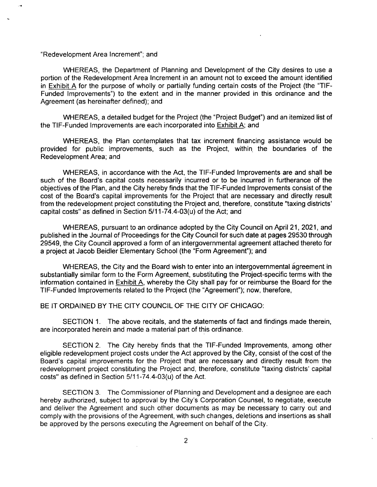"Redevelopment Area Increment"; and

WHEREAS, the Department of Planning and Development of the City desires to use a portion of the Redevelopment Area Increment in an amount not to exceed the amount identified in Exhibit A for the purpose of wholly or partially funding certain costs of the Project (the "TIF-Funded Improvements") to the extent and in the manner provided in this ordinance and the Agreement (as hereinafter defined); and

WHEREAS, a detailed budget for the Project (the "Project Budget") and an itemized list of the TIF-Funded Improvements are each incorporated into Exhibit A; and

WHEREAS, the Plan contemplates that tax increment financing assistance would be provided for public improvements, such as the Project, within the boundaries of the Redevelopment Area; and

WHEREAS, in accordance with the Act, the TIF-Funded Improvements are and shall be such of the Board's capital costs necessarily incurred or to be incurred in furtherance of the objectives of the Plan, and the City hereby finds that the TIF-Funded Improvements consist of the cost of the Board's capital improvements for the Project that are necessary and directly result from the redevelopment project constituting the Project and, therefore, constitute "taxing districts' capital costs" as defined in Section  $5/11-74.4-03(u)$  of the Act; and

WHEREAS, pursuant to an ordinance adopted by the City Council on April 21, 2021, and published in the Journal of Proceedings for the City Council for such date at pages 29530 through 29549, the City Council approved a form of an intergovernmental agreement attached thereto for a project at Jacob Beidler Elementary School (the "Form Agreement"); and

WHEREAS, the City and the Board wish to enter into an intergovernmental agreement in substantially similar form to the Form Agreement, substituting the Project-specific terms with the information contained in Exhibit A. whereby the City shall pay for or reimburse the Board for the TIF-Funded Improvements related to the Project (the "Agreement"); now, therefore,

#### BE IT ORDAINED BY THE CITY COUNCIL OF THE CITY OF CHICAGO:

SECTION 1. The above recitals, and the statements of fact and findings made therein, are incorporated herein and made a material part of this ordinance.

SECTION 2. The City hereby finds that the TIF-Funded Improvements, among other eligible redevelopment project costs under the Act approved by the City, consist of the cost of the Board's capital improvements for the Project that are necessary and directly result from the redevelopment project constituting the Project and, therefore, constitute "taxing districts' capital costs" as defined in Section 5/11-74,4-03(u) of the Act,

SECTION 3, The Commissioner of Planning and Development and a designee are each hereby authorized, subject to approval by the City's Corporation Counsel, to negotiate, execute and deliver the Agreement and such other documents as may be necessary to carry out and comply with the provisions of the Agreement, with such changes, deletions and insertions as shall be approved by the persons executing the Agreement on behalf of the City.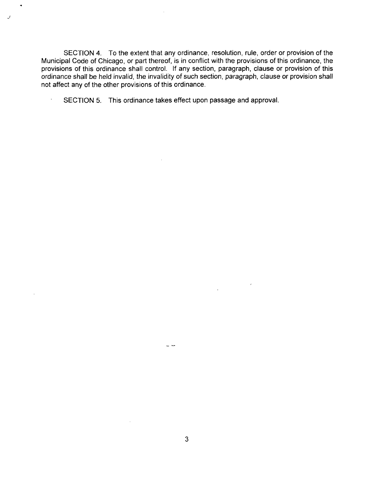SECTION 4. To the extent that any ordinance, resolution, rule, order or provision of the Municipal Code of Chicago, or part thereof, is in conflict with the provisions ofthis ordinance, the provisions of this ordinance shall control. If any section, paragraph, clause or provision of this ordinance shall be held invalid, the invalidity of such section, paragraph, clause or provision shall not affect any of the other provisions of this ordinance,

SECTION 5. This ordinance takes effect upon passage and approval.

 $\mathcal{J}$ 

 $\epsilon$ 

 $\sim$   $\sim$ 

 $\mathcal{L}_{\mathcal{L}}$ 

 $\overline{\phantom{a}}$